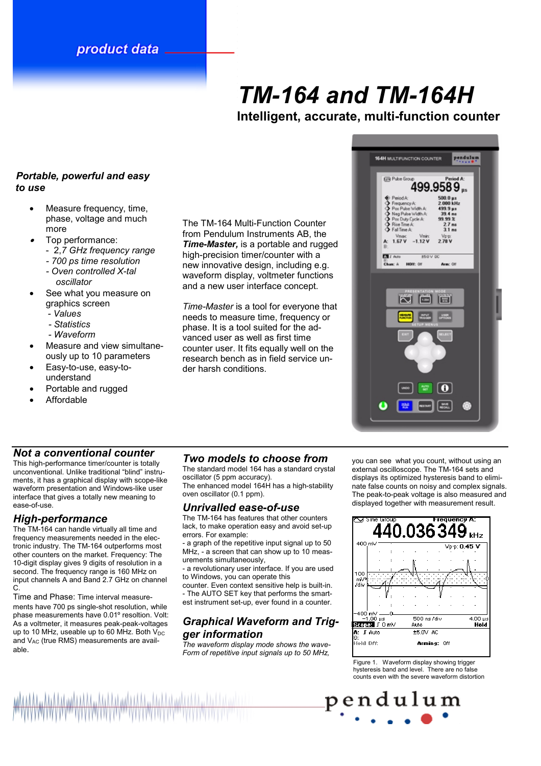# product data

# *TM-164 and TM-164H*

**Intelligent, accurate, multi-function counter** 

#### *Portable, powerful and easy to use*

- Measure frequency, time, phase, voltage and much more
- • Top performance:
	- 2,*7 GHz frequency range* 
		- *700 ps time resolution*
		- *Oven controlled X-tal oscillator*
- See what you measure on graphics screen
	- *Values*
	- *Statistics*
	- *Waveform*
- Measure and view simultaneously up to 10 parameters
- Easy-to-use, easy-tounderstand
- Portable and rugged
- Affordable

## *Not a conventional counter*

This high-performance timer/counter is totally unconventional. Unlike traditional "blind" instruments, it has a graphical display with scope-like waveform presentation and Windows-like user interface that gives a totally new meaning to ease-of-use.

# *High-performance*

The TM-164 can handle virtually all time and frequency measurements needed in the electronic industry. The TM-164 outperforms most other counters on the market. Frequency: The 10-digit display gives 9 digits of resolution in a second. The frequency range is 160 MHz on input channels A and Band 2.7 GHz on channel C.

Time and Phase: Time interval measurements have 700 ps single-shot resolution, while phase measurements have 0.01º resoltion. Volt: As a voltmeter, it measures peak-peak-voltages up to 10 MHz, useable up to 60 MHz. Both  $V_{DC}$ and V<sub>AC</sub> (true RMS) measurements are available.

The TM-164 Multi-Function Counter from Pendulum Instruments AB, the *Time-Master,* is a portable and rugged high-precision timer/counter with a new innovative design, including e.g. waveform display, voltmeter functions and a new user interface concept.

*Time-Master* is a tool for everyone that needs to measure time, frequency or phase. It is a tool suited for the advanced user as well as first time counter user. It fits equally well on the research bench as in field service under harsh conditions.

# *Two models to choose from*

The standard model 164 has a standard crystal oscillator (5 ppm accuracy). The enhanced model 164H has a high-stability

oven oscillator (0.1 ppm).

#### *Unrivalled ease-of-use*

The TM-164 has features that other counters lack, to make operation easy and avoid set-up errors. For example:

- a graph of the repetitive input signal up to 50 MHz, - a screen that can show up to 10 measurements simultaneously,

- a revolutionary user interface. If you are used to Windows, you can operate this

counter. Even context sensitive help is built-in. - The AUTO SET key that performs the smartest instrument set-up, ever found in a counter.

# *Graphical Waveform and Trigger information*

*The waveform display mode shows the wave-Form of repetitive input signals up to 50 MHz,* 

you can see what you count, without using an external oscilloscope. The TM-164 sets and displays its optimized hysteresis band to eliminate false counts on noisy and complex signals. The peak-to-peak voltage is also measured and displayed together with measurement result.

Figure 1. Waveform display showing trigger hysteresis band and level. There are no false counts even with the severe waveform distortion

pendulum